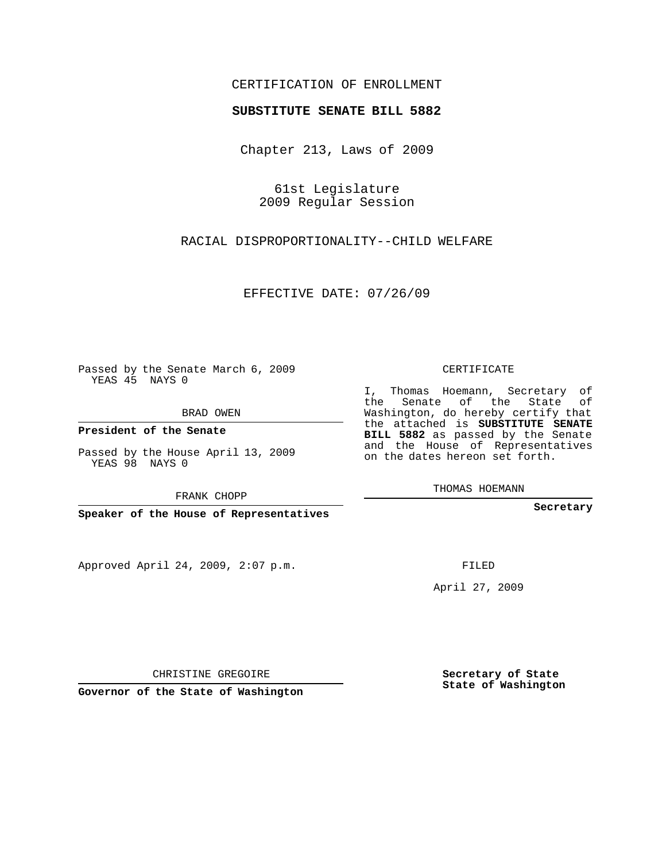## CERTIFICATION OF ENROLLMENT

## **SUBSTITUTE SENATE BILL 5882**

Chapter 213, Laws of 2009

61st Legislature 2009 Regular Session

RACIAL DISPROPORTIONALITY--CHILD WELFARE

EFFECTIVE DATE: 07/26/09

Passed by the Senate March 6, 2009 YEAS 45 NAYS 0

BRAD OWEN

**President of the Senate**

Passed by the House April 13, 2009 YEAS 98 NAYS 0

FRANK CHOPP

**Speaker of the House of Representatives**

Approved April 24, 2009, 2:07 p.m.

CERTIFICATE

I, Thomas Hoemann, Secretary of the Senate of the State of Washington, do hereby certify that the attached is **SUBSTITUTE SENATE BILL 5882** as passed by the Senate and the House of Representatives on the dates hereon set forth.

THOMAS HOEMANN

**Secretary**

FILED

April 27, 2009

CHRISTINE GREGOIRE

**Governor of the State of Washington**

**Secretary of State State of Washington**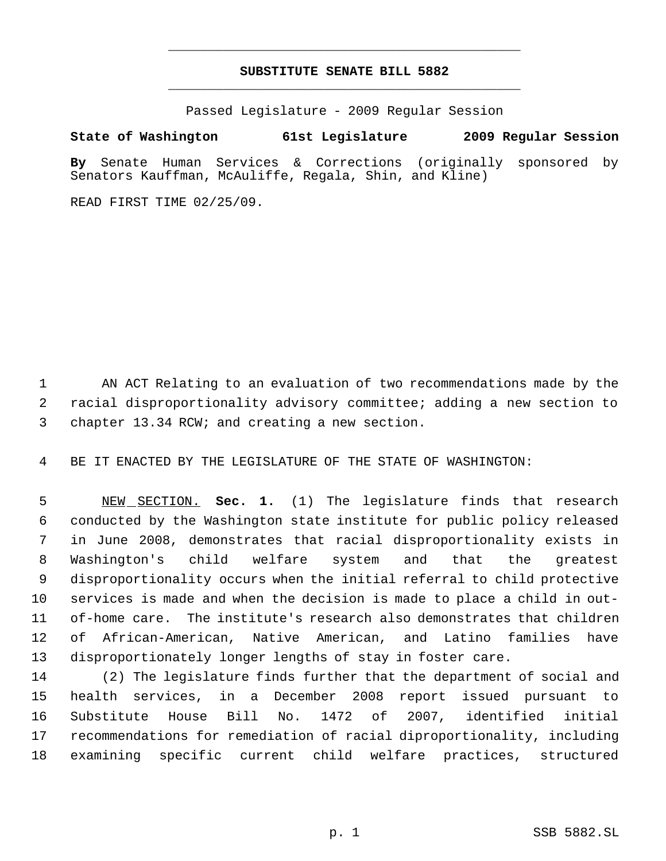## **SUBSTITUTE SENATE BILL 5882** \_\_\_\_\_\_\_\_\_\_\_\_\_\_\_\_\_\_\_\_\_\_\_\_\_\_\_\_\_\_\_\_\_\_\_\_\_\_\_\_\_\_\_\_\_

\_\_\_\_\_\_\_\_\_\_\_\_\_\_\_\_\_\_\_\_\_\_\_\_\_\_\_\_\_\_\_\_\_\_\_\_\_\_\_\_\_\_\_\_\_

Passed Legislature - 2009 Regular Session

## **State of Washington 61st Legislature 2009 Regular Session**

**By** Senate Human Services & Corrections (originally sponsored by Senators Kauffman, McAuliffe, Regala, Shin, and Kline)

READ FIRST TIME 02/25/09.

 AN ACT Relating to an evaluation of two recommendations made by the racial disproportionality advisory committee; adding a new section to chapter 13.34 RCW; and creating a new section.

BE IT ENACTED BY THE LEGISLATURE OF THE STATE OF WASHINGTON:

 NEW SECTION. **Sec. 1.** (1) The legislature finds that research conducted by the Washington state institute for public policy released in June 2008, demonstrates that racial disproportionality exists in Washington's child welfare system and that the greatest disproportionality occurs when the initial referral to child protective services is made and when the decision is made to place a child in out- of-home care. The institute's research also demonstrates that children of African-American, Native American, and Latino families have disproportionately longer lengths of stay in foster care.

 (2) The legislature finds further that the department of social and health services, in a December 2008 report issued pursuant to Substitute House Bill No. 1472 of 2007, identified initial recommendations for remediation of racial diproportionality, including examining specific current child welfare practices, structured